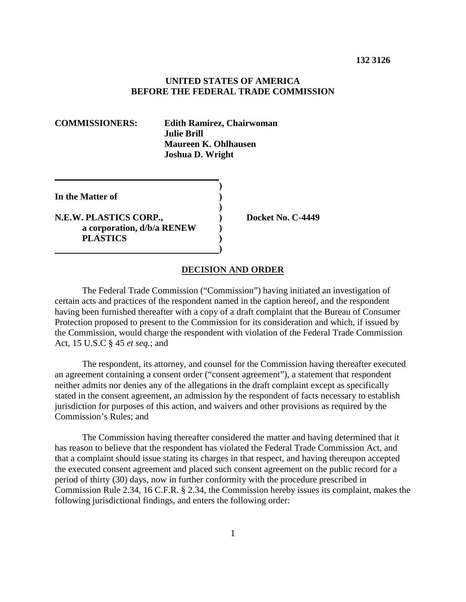## **UNITED STATES OF AMERICA BEFORE THE FEDERAL TRADE COMMISSION**

| <b>COMMISSIONERS:</b>                                                   | Julie Brill. | <b>Edith Ramirez, Chairwoman</b><br><b>Maureen K. Ohlhausen</b><br><b>Joshua D. Wright</b> |  |
|-------------------------------------------------------------------------|--------------|--------------------------------------------------------------------------------------------|--|
| In the Matter of                                                        |              |                                                                                            |  |
| N.E.W. PLASTICS CORP.,<br>a corporation, d/b/a RENEW<br><b>PLASTICS</b> |              | Docket No. C-4449                                                                          |  |
|                                                                         |              | <b>DECISION AND ORDER</b>                                                                  |  |

# The Federal Trade Commission ("Commission") having initiated an investigation of certain acts and practices of the respondent named in the caption hereof, and the respondent having been furnished thereafter with a copy of a draft complaint that the Bureau of Consumer

Protection proposed to present to the Commission for its consideration and which, if issued by the Commission, would charge the respondent with violation of the Federal Trade Commission Act, 15 U.S.C § 45 *et seq*.; and

The respondent, its attorney, and counsel for the Commission having thereafter executed an agreement containing a consent order ("consent agreement"), a statement that respondent neither admits nor denies any of the allegations in the draft complaint except as specifically stated in the consent agreement, an admission by the respondent of facts necessary to establish jurisdiction for purposes of this action, and waivers and other provisions as required by the Commission's Rules; and

The Commission having thereafter considered the matter and having determined that it has reason to believe that the respondent has violated the Federal Trade Commission Act, and that a complaint should issue stating its charges in that respect, and having thereupon accepted the executed consent agreement and placed such consent agreement on the public record for a period of thirty (30) days, now in further conformity with the procedure prescribed in Commission Rule 2.34, 16 C.F.R. § 2.34, the Commission hereby issues its complaint, makes the following jurisdictional findings, and enters the following order: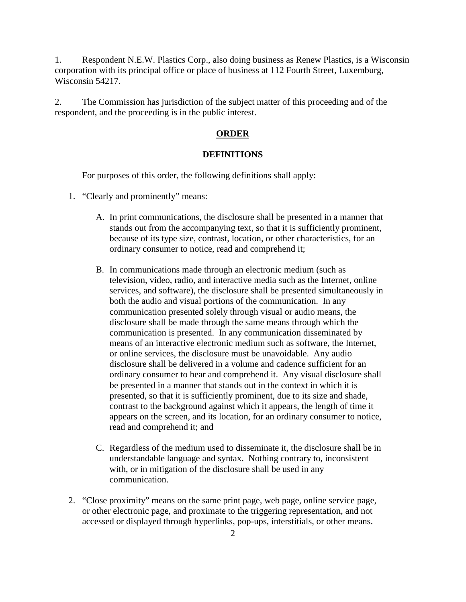1. Respondent N.E.W. Plastics Corp., also doing business as Renew Plastics, is a Wisconsin corporation with its principal office or place of business at 112 Fourth Street, Luxemburg, Wisconsin 54217.

2. The Commission has jurisdiction of the subject matter of this proceeding and of the respondent, and the proceeding is in the public interest.

# **ORDER**

#### **DEFINITIONS**

For purposes of this order, the following definitions shall apply:

- 1. "Clearly and prominently" means:
	- A. In print communications, the disclosure shall be presented in a manner that stands out from the accompanying text, so that it is sufficiently prominent, because of its type size, contrast, location, or other characteristics, for an ordinary consumer to notice, read and comprehend it;
	- B. In communications made through an electronic medium (such as television, video, radio, and interactive media such as the Internet, online services, and software), the disclosure shall be presented simultaneously in both the audio and visual portions of the communication. In any communication presented solely through visual or audio means, the disclosure shall be made through the same means through which the communication is presented. In any communication disseminated by means of an interactive electronic medium such as software, the Internet, or online services, the disclosure must be unavoidable. Any audio disclosure shall be delivered in a volume and cadence sufficient for an ordinary consumer to hear and comprehend it. Any visual disclosure shall be presented in a manner that stands out in the context in which it is presented, so that it is sufficiently prominent, due to its size and shade, contrast to the background against which it appears, the length of time it appears on the screen, and its location, for an ordinary consumer to notice, read and comprehend it; and
	- C. Regardless of the medium used to disseminate it, the disclosure shall be in understandable language and syntax. Nothing contrary to, inconsistent with, or in mitigation of the disclosure shall be used in any communication.
- 2. "Close proximity" means on the same print page, web page, online service page, or other electronic page, and proximate to the triggering representation, and not accessed or displayed through hyperlinks, pop-ups, interstitials, or other means.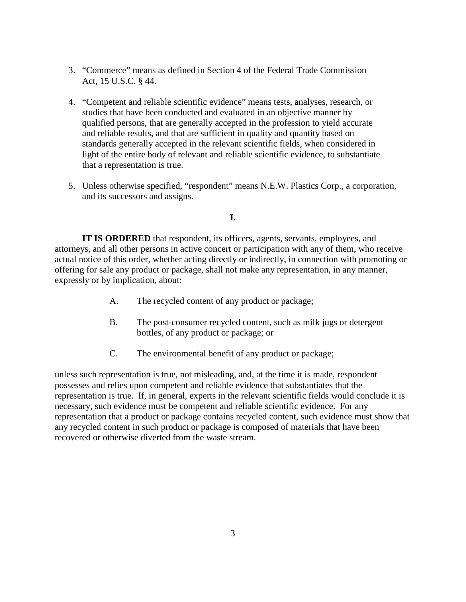- 3. "Commerce" means as defined in Section 4 of the Federal Trade Commission Act, 15 U.S.C. § 44.
- 4. "Competent and reliable scientific evidence" means tests, analyses, research, or studies that have been conducted and evaluated in an objective manner by qualified persons, that are generally accepted in the profession to yield accurate and reliable results, and that are sufficient in quality and quantity based on standards generally accepted in the relevant scientific fields, when considered in light of the entire body of relevant and reliable scientific evidence, to substantiate that a representation is true.
- 5. Unless otherwise specified, "respondent" means N.E.W. Plastics Corp., a corporation, and its successors and assigns.

# **I.**

**IT IS ORDERED** that respondent, its officers, agents, servants, employees, and attorneys, and all other persons in active concert or participation with any of them, who receive actual notice of this order, whether acting directly or indirectly, in connection with promoting or offering for sale any product or package, shall not make any representation, in any manner, expressly or by implication, about:

- A. The recycled content of any product or package;
- B. The post-consumer recycled content, such as milk jugs or detergent bottles, of any product or package; or
- C. The environmental benefit of any product or package;

unless such representation is true, not misleading, and, at the time it is made, respondent possesses and relies upon competent and reliable evidence that substantiates that the representation is true. If, in general, experts in the relevant scientific fields would conclude it is necessary, such evidence must be competent and reliable scientific evidence. For any representation that a product or package contains recycled content, such evidence must show that any recycled content in such product or package is composed of materials that have been recovered or otherwise diverted from the waste stream.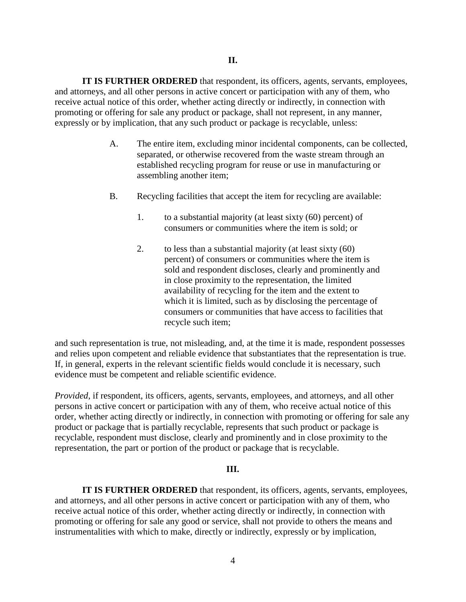**IT IS FURTHER ORDERED** that respondent, its officers, agents, servants, employees, and attorneys, and all other persons in active concert or participation with any of them, who receive actual notice of this order, whether acting directly or indirectly, in connection with promoting or offering for sale any product or package, shall not represent, in any manner, expressly or by implication, that any such product or package is recyclable, unless:

- A. The entire item, excluding minor incidental components, can be collected, separated, or otherwise recovered from the waste stream through an established recycling program for reuse or use in manufacturing or assembling another item;
- B. Recycling facilities that accept the item for recycling are available:
	- 1. to a substantial majority (at least sixty (60) percent) of consumers or communities where the item is sold; or
	- 2. to less than a substantial majority (at least sixty (60) percent) of consumers or communities where the item is sold and respondent discloses, clearly and prominently and in close proximity to the representation, the limited availability of recycling for the item and the extent to which it is limited, such as by disclosing the percentage of consumers or communities that have access to facilities that recycle such item;

and such representation is true, not misleading, and, at the time it is made, respondent possesses and relies upon competent and reliable evidence that substantiates that the representation is true. If, in general, experts in the relevant scientific fields would conclude it is necessary, such evidence must be competent and reliable scientific evidence.

*Provided*, if respondent, its officers, agents, servants, employees, and attorneys, and all other persons in active concert or participation with any of them, who receive actual notice of this order, whether acting directly or indirectly, in connection with promoting or offering for sale any product or package that is partially recyclable, represents that such product or package is recyclable, respondent must disclose, clearly and prominently and in close proximity to the representation, the part or portion of the product or package that is recyclable.

# **III.**

**IT IS FURTHER ORDERED** that respondent, its officers, agents, servants, employees, and attorneys, and all other persons in active concert or participation with any of them, who receive actual notice of this order, whether acting directly or indirectly, in connection with promoting or offering for sale any good or service, shall not provide to others the means and instrumentalities with which to make, directly or indirectly, expressly or by implication,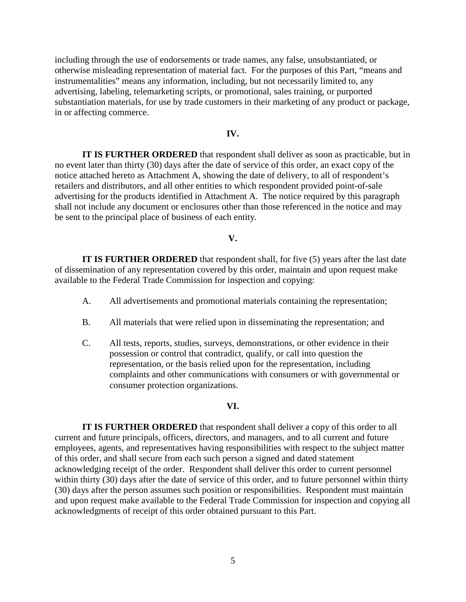including through the use of endorsements or trade names, any false, unsubstantiated, or otherwise misleading representation of material fact. For the purposes of this Part, "means and instrumentalities" means any information, including, but not necessarily limited to, any advertising, labeling, telemarketing scripts, or promotional, sales training, or purported substantiation materials, for use by trade customers in their marketing of any product or package, in or affecting commerce.

#### **IV.**

**IT IS FURTHER ORDERED** that respondent shall deliver as soon as practicable, but in no event later than thirty (30) days after the date of service of this order, an exact copy of the notice attached hereto as Attachment A, showing the date of delivery, to all of respondent's retailers and distributors, and all other entities to which respondent provided point-of-sale advertising for the products identified in Attachment A. The notice required by this paragraph shall not include any document or enclosures other than those referenced in the notice and may be sent to the principal place of business of each entity.

## **V.**

**IT IS FURTHER ORDERED** that respondent shall, for five (5) years after the last date of dissemination of any representation covered by this order, maintain and upon request make available to the Federal Trade Commission for inspection and copying:

- A. All advertisements and promotional materials containing the representation;
- B. All materials that were relied upon in disseminating the representation; and
- C. All tests, reports, studies, surveys, demonstrations, or other evidence in their possession or control that contradict, qualify, or call into question the representation, or the basis relied upon for the representation, including complaints and other communications with consumers or with governmental or consumer protection organizations.

#### **VI.**

**IT IS FURTHER ORDERED** that respondent shall deliver a copy of this order to all current and future principals, officers, directors, and managers, and to all current and future employees, agents, and representatives having responsibilities with respect to the subject matter of this order, and shall secure from each such person a signed and dated statement acknowledging receipt of the order. Respondent shall deliver this order to current personnel within thirty (30) days after the date of service of this order, and to future personnel within thirty (30) days after the person assumes such position or responsibilities. Respondent must maintain and upon request make available to the Federal Trade Commission for inspection and copying all acknowledgments of receipt of this order obtained pursuant to this Part.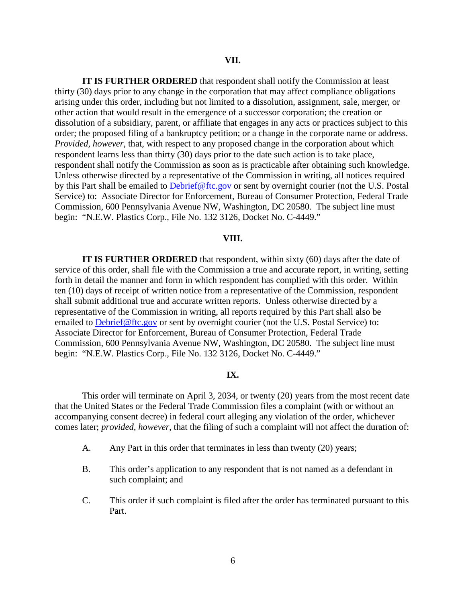**IT IS FURTHER ORDERED** that respondent shall notify the Commission at least thirty (30) days prior to any change in the corporation that may affect compliance obligations arising under this order, including but not limited to a dissolution, assignment, sale, merger, or other action that would result in the emergence of a successor corporation; the creation or dissolution of a subsidiary, parent, or affiliate that engages in any acts or practices subject to this order; the proposed filing of a bankruptcy petition; or a change in the corporate name or address. *Provided, however*, that, with respect to any proposed change in the corporation about which respondent learns less than thirty (30) days prior to the date such action is to take place, respondent shall notify the Commission as soon as is practicable after obtaining such knowledge. Unless otherwise directed by a representative of the Commission in writing, all notices required by this Part shall be emailed to Debrief@ftc.gov or sent by overnight courier (not the U.S. Postal Service) to: Associate Director for Enforcement, Bureau of Consumer Protection, Federal Trade Commission, 600 Pennsylvania Avenue NW, Washington, DC 20580. The subject line must begin: "N.E.W. Plastics Corp., File No. 132 3126, Docket No. C-4449."

## **VIII.**

**IT IS FURTHER ORDERED** that respondent, within sixty (60) days after the date of service of this order, shall file with the Commission a true and accurate report, in writing, setting forth in detail the manner and form in which respondent has complied with this order. Within ten (10) days of receipt of written notice from a representative of the Commission, respondent shall submit additional true and accurate written reports. Unless otherwise directed by a representative of the Commission in writing, all reports required by this Part shall also be emailed to Debrief@ftc.gov or sent by overnight courier (not the U.S. Postal Service) to: Associate Director for Enforcement, Bureau of Consumer Protection, Federal Trade Commission, 600 Pennsylvania Avenue NW, Washington, DC 20580. The subject line must begin: "N.E.W. Plastics Corp., File No. 132 3126, Docket No. C-4449."

## **IX.**

This order will terminate on April 3, 2034, or twenty (20) years from the most recent date that the United States or the Federal Trade Commission files a complaint (with or without an accompanying consent decree) in federal court alleging any violation of the order, whichever comes later; *provided, however*, that the filing of such a complaint will not affect the duration of:

- A. Any Part in this order that terminates in less than twenty (20) years;
- B. This order's application to any respondent that is not named as a defendant in such complaint; and
- C. This order if such complaint is filed after the order has terminated pursuant to this Part.